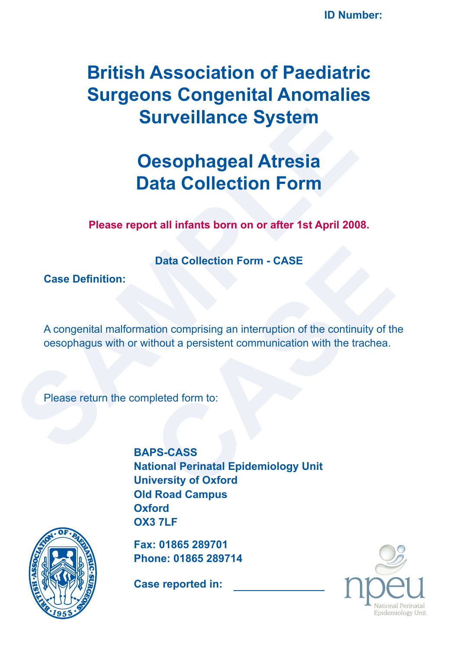# **British Association of Paediatric Surgeons Congenital Anomalies Surveillance System**

# **Oesophageal Atresia Data Collection Form**

**Please report all infants born on or after 1st April 2008.**

**Data Collection Form - CASE**

**Case Definition:**

**Surveillance System<br>
Oesophageal Atresia<br>
Data Collection Form**<br>
Please report all infants born on or after 1st April 200<br>
Data Collection Form - CASE<br>
Case Definition:<br>
A congenital malformation comprising an interruptio A congenital malformation comprising an interruption of the continuity of the oesophagus with or without a persistent communication with the trachea.

Please return the completed form to:

Data Collection Form - CASE<br>
tion comprising an interruption of the continuity of the<br>
tihout a persistent communication with the trachea.<br>
pleted form to:<br>
PS-CASS<br>
tional Perinatal Epidemiology Unit<br>
iversity of Oxford **BAPS-CASS National Perinatal Epidemiology Unit University of Oxford Old Road Campus Oxford OX3 7LF**



**Fax: 01865 289701 Phone: 01865 289714**

**Case reported in:**

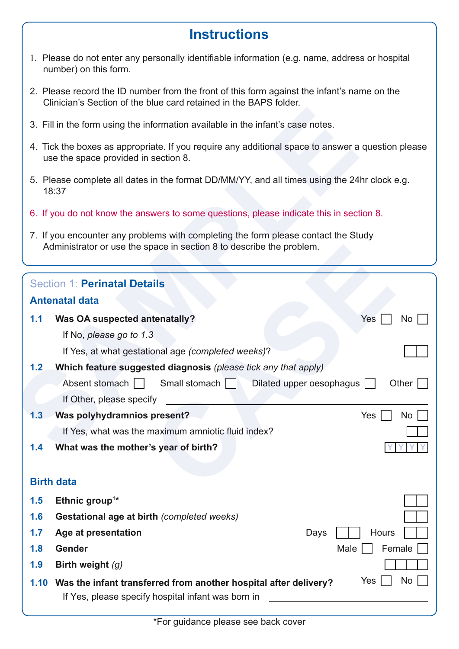### **Instructions**

- 1. Please do not enter any personally identifiable information (e.g. name, address or hospital number) on this form.
- 2. Please record the ID number from the front of this form against the infant's name on the Clinician's Section of the blue card retained in the BAPS folder.
- 3. Fill in the form using the information available in the infant's case notes.
- 4. Tick the boxes as appropriate. If you require any additional space to answer a question please use the space provided in section 8.
- 5. Please complete all dates in the format DD/MM/YY, and all times using the 24hr clock e.g. 18:37
- 6. If you do not know the answers to some questions, please indicate this in section 8.
- 7. If you encounter any problems with completing the form please contact the Study Administrator or use the space in section 8 to describe the problem.

|     | 3. Fill in the form using the information available in the infant's case notes.                                                                            |
|-----|------------------------------------------------------------------------------------------------------------------------------------------------------------|
|     | 4. Tick the boxes as appropriate. If you require any additional space to answer a question please<br>use the space provided in section 8.                  |
|     | 5. Please complete all dates in the format DD/MM/YY, and all times using the 24hr clock e.g.<br>18:37                                                      |
|     | 6. If you do not know the answers to some questions, please indicate this in section 8.                                                                    |
|     | 7. If you encounter any problems with completing the form please contact the Study<br>Administrator or use the space in section 8 to describe the problem. |
|     | <b>Section 1: Perinatal Details</b>                                                                                                                        |
|     | <b>Antenatal data</b>                                                                                                                                      |
| 1.1 | Was OA suspected antenatally?<br>Yes<br>No                                                                                                                 |
|     | If No, please go to 1.3                                                                                                                                    |
|     | If Yes, at what gestational age (completed weeks)?                                                                                                         |
| 1.2 | Which feature suggested diagnosis (please tick any that apply)                                                                                             |
|     | Absent stomach    <br>Small stomach    <br>Other $  \;  $<br>Dilated upper oesophagus    <br>If Other, please specify                                      |
| 1.3 | Was polyhydramnios present?<br>Yes<br>No                                                                                                                   |
|     | If Yes, what was the maximum amniotic fluid index?                                                                                                         |
| 1.4 | What was the mother's year of birth?                                                                                                                       |
|     | <b>Birth data</b>                                                                                                                                          |
| 1.5 | Ethnic group <sup>1*</sup>                                                                                                                                 |
| 1.6 | <b>Gestational age at birth (completed weeks)</b>                                                                                                          |
| 1.7 | Age at presentation<br>Hours<br>Days                                                                                                                       |
| 1.8 | Gender<br>Female<br>Male                                                                                                                                   |
| 1.9 | Birth weight (g)                                                                                                                                           |
|     | Yes<br><b>No</b><br>1.10 Was the infant transferred from another hospital after delivery?<br>If Yes, please specify hospital infant was born in            |
|     |                                                                                                                                                            |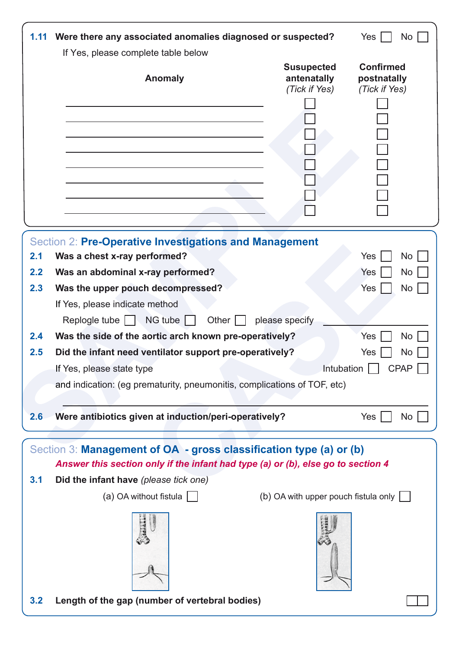|     |                                                                                                                                                                                                 | 1.11 Were there any associated anomalies diagnosed or suspected? | Yes<br>No                                        |
|-----|-------------------------------------------------------------------------------------------------------------------------------------------------------------------------------------------------|------------------------------------------------------------------|--------------------------------------------------|
|     | If Yes, please complete table below                                                                                                                                                             |                                                                  |                                                  |
|     | <b>Anomaly</b>                                                                                                                                                                                  | <b>Susupected</b><br>antenatally<br>(Tick if Yes)                | <b>Confirmed</b><br>postnatally<br>(Tick if Yes) |
|     |                                                                                                                                                                                                 |                                                                  |                                                  |
|     |                                                                                                                                                                                                 |                                                                  |                                                  |
|     | Section 2: Pre-Operative Investigations and Management                                                                                                                                          |                                                                  |                                                  |
| 2.1 | Was a chest x-ray performed?                                                                                                                                                                    |                                                                  | Yes<br><b>No</b>                                 |
| 2.2 | Was an abdominal x-ray performed?                                                                                                                                                               |                                                                  | Yes<br><b>No</b>                                 |
| 2.3 | Was the upper pouch decompressed?                                                                                                                                                               |                                                                  | Yes<br><b>No</b>                                 |
|     | If Yes, please indicate method<br>$NG$ tube $\ $<br>Other $\vert \ \vert$<br>Replogle tube $\ \cdot\ $                                                                                          | please specify                                                   |                                                  |
| 2.4 | Was the side of the aortic arch known pre-operatively?                                                                                                                                          |                                                                  | <b>No</b><br>Yes                                 |
| 2.5 |                                                                                                                                                                                                 |                                                                  |                                                  |
|     | Did the infant need ventilator support pre-operatively?                                                                                                                                         |                                                                  | No<br>Yes                                        |
|     | If Yes, please state type                                                                                                                                                                       | Intubation                                                       | <b>CPAP</b>                                      |
|     | and indication: (eg prematurity, pneumonitis, complications of TOF, etc)                                                                                                                        |                                                                  |                                                  |
| 2.6 | Were antibiotics given at induction/peri-operatively?                                                                                                                                           |                                                                  | Yes  <br>No                                      |
| 3.1 | Section 3: Management of OA - gross classification type (a) or (b)<br>Answer this section only if the infant had type (a) or (b), else go to section 4<br>Did the infant have (please tick one) |                                                                  |                                                  |
|     | (a) OA without fistula $\Box$                                                                                                                                                                   | (b) OA with upper pouch fistula only                             |                                                  |
|     |                                                                                                                                                                                                 |                                                                  |                                                  |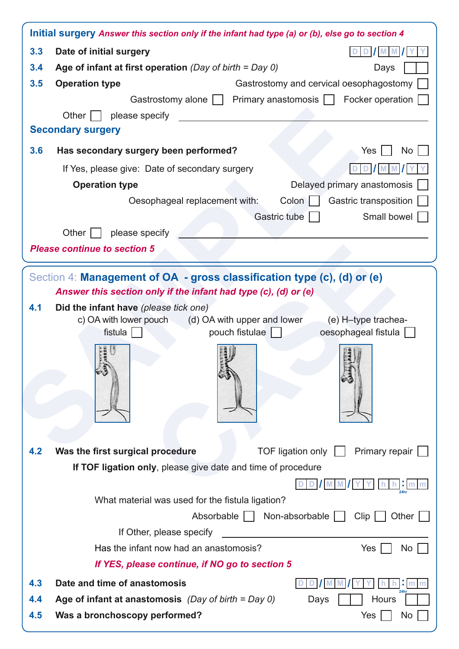|     | Initial surgery Answer this section only if the infant had type (a) or (b), else go to section 4                                  |
|-----|-----------------------------------------------------------------------------------------------------------------------------------|
| 3.3 | Date of initial surgery                                                                                                           |
| 3.4 | Age of infant at first operation (Day of birth = Day 0)<br>Days                                                                   |
| 3.5 | <b>Operation type</b><br>Gastrostomy and cervical oesophagostomy                                                                  |
|     | Gastrostomy alone     Primary anastomosis     Focker operation                                                                    |
|     | Other $ $<br>  please specify                                                                                                     |
|     | <b>Secondary surgery</b>                                                                                                          |
| 3.6 | Has secondary surgery been performed?<br><b>No</b><br>Yes                                                                         |
|     | If Yes, please give: Date of secondary surgery<br>D                                                                               |
|     | <b>Operation type</b><br>Delayed primary anastomosis                                                                              |
|     | Oesophageal replacement with:<br>Colon  <br>Gastric transposition                                                                 |
|     | Gastric tube<br>Small bowel                                                                                                       |
|     | Other $ $<br>please specify                                                                                                       |
|     | <b>Please continue to section 5</b>                                                                                               |
|     | c) OA with lower pouch (d) OA with upper and lower<br>(e) H-type trachea-<br>fistula $ $<br>pouch fistulae<br>oesophageal fistula |
| 4.2 | Was the first surgical procedure<br>TOF ligation only    <br>Primary repair                                                       |
|     | If TOF ligation only, please give date and time of procedure                                                                      |
|     |                                                                                                                                   |
|     | What material was used for the fistula ligation?                                                                                  |
|     | Absorbable     Non-absorbable    <br>Clip<br>Other                                                                                |
|     | If Other, please specify                                                                                                          |
|     | Has the infant now had an anastomosis?<br>Yes<br><b>No</b>                                                                        |
|     | If YES, please continue, if NO go to section 5                                                                                    |
| 4.3 | Date and time of anastomosis                                                                                                      |
| 4.4 | Age of infant at anastomosis (Day of birth = Day 0)<br>Hours<br>Days                                                              |
| 4.5 | Was a bronchoscopy performed?<br>Yes<br>No                                                                                        |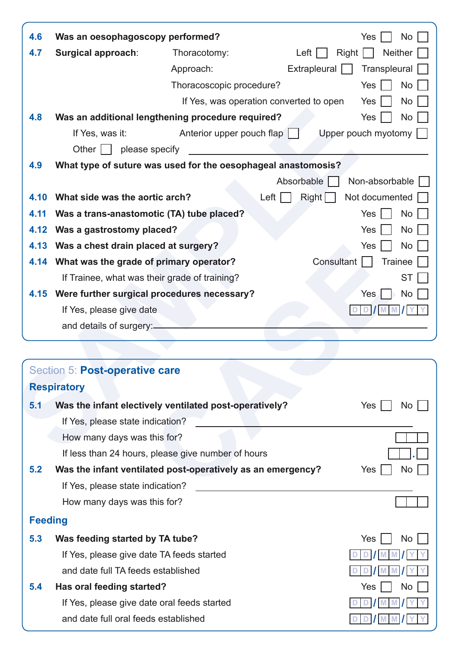| 4.6  | Was an oesophagoscopy performed?                              |                                                   |                                         | Yes<br><b>No</b>           |
|------|---------------------------------------------------------------|---------------------------------------------------|-----------------------------------------|----------------------------|
| 4.7  | Surgical approach:                                            | Thoracotomy:                                      | Left                                    | <b>Neither</b><br>Right    |
|      |                                                               | Approach:                                         | Extrapleural                            | Transpleural               |
|      |                                                               | Thoracoscopic procedure?                          |                                         | Yes<br>No                  |
|      |                                                               |                                                   | If Yes, was operation converted to open | Yes<br><b>No</b>           |
| 4.8  | Was an additional lengthening procedure required?             |                                                   |                                         | Yes<br><b>No</b>           |
|      | If Yes, was it:                                               | Anterior upper pouch flap                         |                                         | Upper pouch myotomy $\Box$ |
|      | Other  <br>please specify                                     |                                                   |                                         |                            |
| 4.9  | What type of suture was used for the oesophageal anastomosis? |                                                   |                                         |                            |
|      |                                                               |                                                   | Absorbable                              | Non-absorbable             |
| 4.10 | What side was the aortic arch?                                |                                                   | Left<br>Right                           | Not documented             |
| 4.11 | Was a trans-anastomotic (TA) tube placed?                     |                                                   |                                         | Yes<br>No                  |
| 4.12 | Was a gastrostomy placed?                                     |                                                   |                                         | Yes<br>No                  |
| 4.13 | Was a chest drain placed at surgery?                          |                                                   |                                         | <b>Yes</b><br><b>No</b>    |
|      | 4.14 What was the grade of primary operator?                  |                                                   | Consultant                              | <b>Trainee</b>             |
|      | If Trainee, what was their grade of training?                 |                                                   |                                         | ST                         |
|      | 4.15 Were further surgical procedures necessary?              |                                                   |                                         | Yes<br>No                  |
|      | If Yes, please give date                                      |                                                   |                                         |                            |
|      | and details of surgery:-                                      |                                                   |                                         |                            |
|      |                                                               |                                                   |                                         |                            |
|      |                                                               |                                                   |                                         |                            |
|      | Section 5: Post-operative care                                |                                                   |                                         |                            |
|      | <b>Respiratory</b>                                            |                                                   |                                         |                            |
| 5.1  | Was the infant electively ventilated post-operatively?        |                                                   |                                         | Yes  <br>No                |
|      | If Yes, please state indication?                              |                                                   |                                         |                            |
|      | How many days was this for?                                   |                                                   |                                         |                            |
|      |                                                               | If lose than 24 hours please give number of hours |                                         |                            |

| 4.13           | Was a chest drain placed at surgery?                        | Yes<br><b>NO</b>             |
|----------------|-------------------------------------------------------------|------------------------------|
| 4.14           | What was the grade of primary operator?                     | <b>Trainee</b><br>Consultant |
|                | If Trainee, what was their grade of training?               | <b>ST</b>                    |
|                | 4.15 Were further surgical procedures necessary?            | <b>No</b><br>Yes             |
|                | If Yes, please give date                                    | D                            |
|                | and details of surgery:-                                    |                              |
|                |                                                             |                              |
|                | Section 5: Post-operative care                              |                              |
|                | <b>Respiratory</b>                                          |                              |
| 5.1            | Was the infant electively ventilated post-operatively?      | Yes<br>No                    |
|                | If Yes, please state indication?                            |                              |
|                | How many days was this for?                                 |                              |
|                | If less than 24 hours, please give number of hours          |                              |
| 5.2            | Was the infant ventilated post-operatively as an emergency? | <b>No</b><br>Yes             |
|                | If Yes, please state indication?                            |                              |
|                | How many days was this for?                                 |                              |
| <b>Feeding</b> |                                                             |                              |
| 5.3            | Was feeding started by TA tube?                             | Yes<br><b>No</b>             |
|                | If Yes, please give date TA feeds started                   |                              |
|                | and date full TA feeds established                          |                              |
| 5.4            | Has oral feeding started?                                   | No<br>Yes                    |
|                | If Yes, please give date oral feeds started                 |                              |
|                | and date full oral feeds established                        |                              |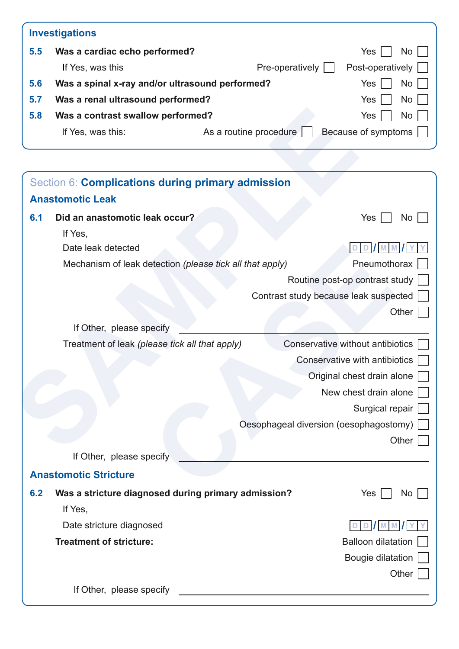|     | <b>Investigations</b>                           |                        |                     |
|-----|-------------------------------------------------|------------------------|---------------------|
| 5.5 | Was a cardiac echo performed?                   |                        | <b>Yes</b><br>No    |
|     | If Yes, was this                                | Pre-operatively        | Post-operatively    |
| 5.6 | Was a spinal x-ray and/or ultrasound performed? |                        | <b>Yes</b><br>No.   |
| 5.7 | Was a renal ultrasound performed?               |                        | <b>Yes</b><br>No.   |
| 5.8 | Was a contrast swallow performed?               |                        | <b>Yes</b><br>No.   |
|     | If Yes, was this:                               | As a routine procedure | Because of symptoms |

| 5.8 | Was a contrast swallow performed?              |                                                          | Yes<br>No                              |
|-----|------------------------------------------------|----------------------------------------------------------|----------------------------------------|
|     | If Yes, was this:                              | As a routine procedure                                   | Because of symptoms                    |
|     |                                                |                                                          |                                        |
|     |                                                | Section 6: Complications during primary admission        |                                        |
|     | <b>Anastomotic Leak</b>                        |                                                          |                                        |
| 6.1 | Did an anastomotic leak occur?                 |                                                          | Yes  <br>No                            |
|     | If Yes,                                        |                                                          |                                        |
|     | Date leak detected                             |                                                          |                                        |
|     |                                                | Mechanism of leak detection (please tick all that apply) | Pneumothorax                           |
|     |                                                |                                                          | Routine post-op contrast study         |
|     |                                                |                                                          | Contrast study because leak suspected  |
|     |                                                |                                                          | Other                                  |
|     | If Other, please specify                       |                                                          |                                        |
|     | Treatment of leak (please tick all that apply) |                                                          | Conservative without antibiotics       |
|     |                                                |                                                          | Conservative with antibiotics          |
|     |                                                |                                                          | Original chest drain alone             |
|     |                                                |                                                          | New chest drain alone                  |
|     |                                                |                                                          | Surgical repair                        |
|     |                                                |                                                          | Oesophageal diversion (oesophagostomy) |
|     |                                                |                                                          | Other                                  |
|     | If Other, please specify                       |                                                          |                                        |
|     | <b>Anastomotic Stricture</b>                   |                                                          |                                        |
| 6.2 |                                                | Was a stricture diagnosed during primary admission?      | Yes<br>No                              |
|     | If Yes,                                        |                                                          |                                        |
|     | Date stricture diagnosed                       |                                                          | D     M   M     Y                      |
|     | <b>Treatment of stricture:</b>                 |                                                          | <b>Balloon dilatation</b>              |
|     |                                                |                                                          | Bougie dilatation                      |
|     |                                                |                                                          | Other                                  |
|     | If Other, please specify                       |                                                          |                                        |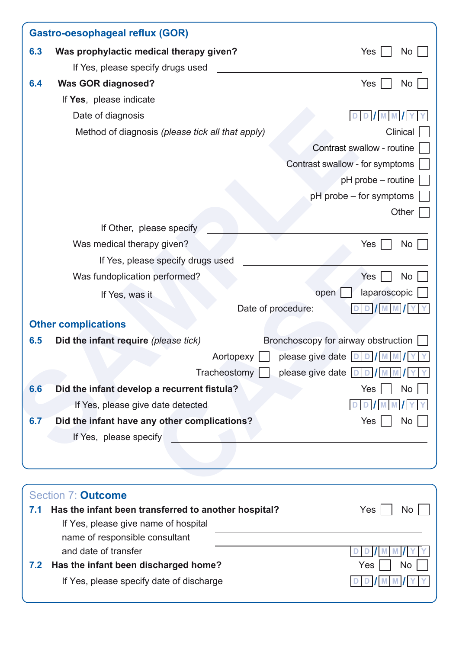|     | <b>Gastro-oesophageal reflux (GOR)</b>                                            |                                             |
|-----|-----------------------------------------------------------------------------------|---------------------------------------------|
| 6.3 | Was prophylactic medical therapy given?                                           | Yes<br>No                                   |
|     | If Yes, please specify drugs used                                                 |                                             |
| 6.4 | <b>Was GOR diagnosed?</b>                                                         | Yes<br><b>No</b>                            |
|     | If Yes, please indicate                                                           |                                             |
|     | Date of diagnosis                                                                 |                                             |
|     | Method of diagnosis (please tick all that apply)                                  | Clinical                                    |
|     |                                                                                   | Contrast swallow - routine                  |
|     |                                                                                   | Contrast swallow - for symptoms             |
|     |                                                                                   | pH probe – routine                          |
|     |                                                                                   | pH probe – for symptoms                     |
|     |                                                                                   | Other                                       |
|     | If Other, please specify                                                          |                                             |
|     | Was medical therapy given?                                                        | No<br>Yes                                   |
|     | If Yes, please specify drugs used                                                 |                                             |
|     | Was fundoplication performed?                                                     | <b>No</b><br>Yes                            |
|     | If Yes, was it                                                                    | laparoscopic<br>open                        |
|     |                                                                                   | Date of procedure:                          |
|     | <b>Other complications</b>                                                        |                                             |
| 6.5 | Did the infant require (please tick)                                              | Bronchoscopy for airway obstruction         |
|     |                                                                                   | please give date $ D D$<br>Aortopexy        |
|     |                                                                                   | Tracheostomy    <br>please give date $ D D$ |
| 6.6 | Did the infant develop a recurrent fistula?                                       | No<br>Yes                                   |
|     | If Yes, please give date detected                                                 |                                             |
| 6.7 | Did the infant have any other complications?                                      | Yes<br>No                                   |
|     | If Yes, please specify                                                            |                                             |
|     |                                                                                   |                                             |
|     |                                                                                   |                                             |
|     |                                                                                   |                                             |
| 7.1 | Section 7: <b>Outcome</b><br>Has the infant been transferred to another hospital? | Yes<br>N <sub>o</sub>                       |
|     | If Yes, please give name of hospital                                              |                                             |
|     | name of responsible consultant                                                    |                                             |

| and date of transfer | DD   M M   Y   Y |
|----------------------|------------------|
|                      |                  |

**7.2 Has the infant been discharged home?** The Mondown of the Ves  $\overline{N}$  No

If Yes, please specify date of discharge **D D / M M / Y Y**